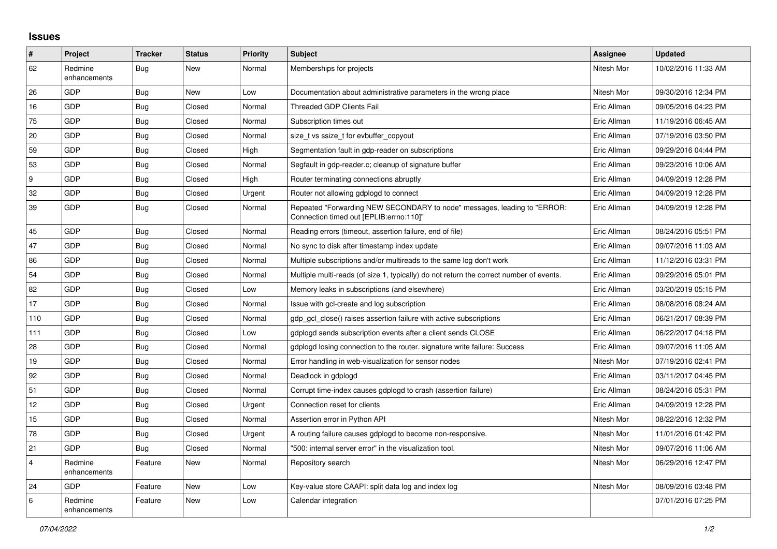## **Issues**

| $\vert$ #      | Project                 | <b>Tracker</b> | <b>Status</b> | <b>Priority</b> | <b>Subject</b>                                                                                                      | <b>Assignee</b> | <b>Updated</b>      |
|----------------|-------------------------|----------------|---------------|-----------------|---------------------------------------------------------------------------------------------------------------------|-----------------|---------------------|
| 62             | Redmine<br>enhancements | Bug            | New           | Normal          | Memberships for projects                                                                                            | Nitesh Mor      | 10/02/2016 11:33 AM |
| 26             | <b>GDP</b>              | Bug            | <b>New</b>    | Low             | Documentation about administrative parameters in the wrong place                                                    | Nitesh Mor      | 09/30/2016 12:34 PM |
| 16             | GDP                     | Bug            | Closed        | Normal          | Threaded GDP Clients Fail                                                                                           | Eric Allman     | 09/05/2016 04:23 PM |
| 75             | GDP                     | Bug            | Closed        | Normal          | Subscription times out                                                                                              | Eric Allman     | 11/19/2016 06:45 AM |
| 20             | <b>GDP</b>              | <b>Bug</b>     | Closed        | Normal          | size t vs ssize t for evbuffer copyout                                                                              | Eric Allman     | 07/19/2016 03:50 PM |
| 59             | GDP                     | <b>Bug</b>     | Closed        | High            | Segmentation fault in gdp-reader on subscriptions                                                                   | Eric Allman     | 09/29/2016 04:44 PM |
| 53             | GDP                     | <b>Bug</b>     | Closed        | Normal          | Segfault in gdp-reader.c; cleanup of signature buffer                                                               | Eric Allman     | 09/23/2016 10:06 AM |
| 9              | GDP                     | <b>Bug</b>     | Closed        | High            | Router terminating connections abruptly                                                                             | Eric Allman     | 04/09/2019 12:28 PM |
| 32             | <b>GDP</b>              | Bug            | Closed        | Urgent          | Router not allowing gdplogd to connect                                                                              | Eric Allman     | 04/09/2019 12:28 PM |
| 39             | <b>GDP</b>              | Bug            | Closed        | Normal          | Repeated "Forwarding NEW SECONDARY to node" messages, leading to "ERROR:<br>Connection timed out [EPLIB:errno:110]" | Eric Allman     | 04/09/2019 12:28 PM |
| 45             | GDP                     | Bug            | Closed        | Normal          | Reading errors (timeout, assertion failure, end of file)                                                            | Eric Allman     | 08/24/2016 05:51 PM |
| 47             | GDP                     | <b>Bug</b>     | Closed        | Normal          | No sync to disk after timestamp index update                                                                        | Eric Allman     | 09/07/2016 11:03 AM |
| 86             | GDP                     | <b>Bug</b>     | Closed        | Normal          | Multiple subscriptions and/or multireads to the same log don't work                                                 | Eric Allman     | 11/12/2016 03:31 PM |
| 54             | GDP                     | <b>Bug</b>     | Closed        | Normal          | Multiple multi-reads (of size 1, typically) do not return the correct number of events.                             | Eric Allman     | 09/29/2016 05:01 PM |
| 82             | GDP                     | <b>Bug</b>     | Closed        | Low             | Memory leaks in subscriptions (and elsewhere)                                                                       | Eric Allman     | 03/20/2019 05:15 PM |
| 17             | GDP                     | <b>Bug</b>     | Closed        | Normal          | Issue with gcl-create and log subscription                                                                          | Eric Allman     | 08/08/2016 08:24 AM |
| 110            | <b>GDP</b>              | Bug            | Closed        | Normal          | gdp gcl close() raises assertion failure with active subscriptions                                                  | Eric Allman     | 06/21/2017 08:39 PM |
| 111            | GDP                     | Bug            | Closed        | Low             | gdplogd sends subscription events after a client sends CLOSE                                                        | Eric Allman     | 06/22/2017 04:18 PM |
| 28             | GDP                     | Bug            | Closed        | Normal          | gdplogd losing connection to the router, signature write failure: Success                                           | Eric Allman     | 09/07/2016 11:05 AM |
| 19             | <b>GDP</b>              | Bug            | Closed        | Normal          | Error handling in web-visualization for sensor nodes                                                                | Nitesh Mor      | 07/19/2016 02:41 PM |
| 92             | GDP                     | <b>Bug</b>     | Closed        | Normal          | Deadlock in gdplogd                                                                                                 | Eric Allman     | 03/11/2017 04:45 PM |
| 51             | GDP                     | Bug            | Closed        | Normal          | Corrupt time-index causes gdplogd to crash (assertion failure)                                                      | Eric Allman     | 08/24/2016 05:31 PM |
| 12             | <b>GDP</b>              | <b>Bug</b>     | Closed        | Urgent          | Connection reset for clients                                                                                        | Eric Allman     | 04/09/2019 12:28 PM |
| 15             | GDP                     | <b>Bug</b>     | Closed        | Normal          | Assertion error in Python API                                                                                       | Nitesh Mor      | 08/22/2016 12:32 PM |
| 78             | GDP                     | Bug            | Closed        | Urgent          | A routing failure causes gdplogd to become non-responsive.                                                          | Nitesh Mor      | 11/01/2016 01:42 PM |
| 21             | <b>GDP</b>              | Bug            | Closed        | Normal          | "500: internal server error" in the visualization tool.                                                             | Nitesh Mor      | 09/07/2016 11:06 AM |
| $\overline{4}$ | Redmine<br>enhancements | Feature        | New           | Normal          | Repository search                                                                                                   | Nitesh Mor      | 06/29/2016 12:47 PM |
| 24             | <b>GDP</b>              | Feature        | New           | Low             | Key-value store CAAPI: split data log and index log                                                                 | Nitesh Mor      | 08/09/2016 03:48 PM |
| 6              | Redmine<br>enhancements | Feature        | <b>New</b>    | Low             | Calendar integration                                                                                                |                 | 07/01/2016 07:25 PM |